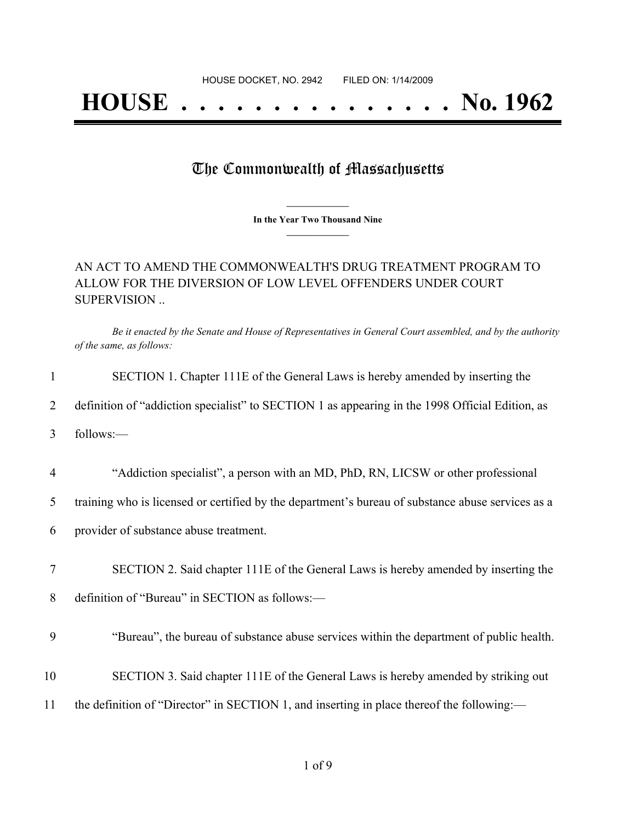## **HOUSE . . . . . . . . . . . . . . . No. 1962**

## The Commonwealth of Massachusetts

**\_\_\_\_\_\_\_\_\_\_\_\_\_\_\_ In the Year Two Thousand Nine \_\_\_\_\_\_\_\_\_\_\_\_\_\_\_**

## AN ACT TO AMEND THE COMMONWEALTH'S DRUG TREATMENT PROGRAM TO ALLOW FOR THE DIVERSION OF LOW LEVEL OFFENDERS UNDER COURT SUPERVISION ..

Be it enacted by the Senate and House of Representatives in General Court assembled, and by the authority *of the same, as follows:*

| 1              | SECTION 1. Chapter 111E of the General Laws is hereby amended by inserting the                    |
|----------------|---------------------------------------------------------------------------------------------------|
| 2              | definition of "addiction specialist" to SECTION 1 as appearing in the 1998 Official Edition, as   |
| 3              | follows:-                                                                                         |
| $\overline{4}$ | "Addiction specialist", a person with an MD, PhD, RN, LICSW or other professional                 |
| 5              | training who is licensed or certified by the department's bureau of substance abuse services as a |
| 6              | provider of substance abuse treatment.                                                            |
| 7              | SECTION 2. Said chapter 111E of the General Laws is hereby amended by inserting the               |
| 8              | definition of "Bureau" in SECTION as follows:-                                                    |
| 9              | "Bureau", the bureau of substance abuse services within the department of public health.          |
| 10             | SECTION 3. Said chapter 111E of the General Laws is hereby amended by striking out                |
| 11             | the definition of "Director" in SECTION 1, and inserting in place thereof the following:—         |
|                |                                                                                                   |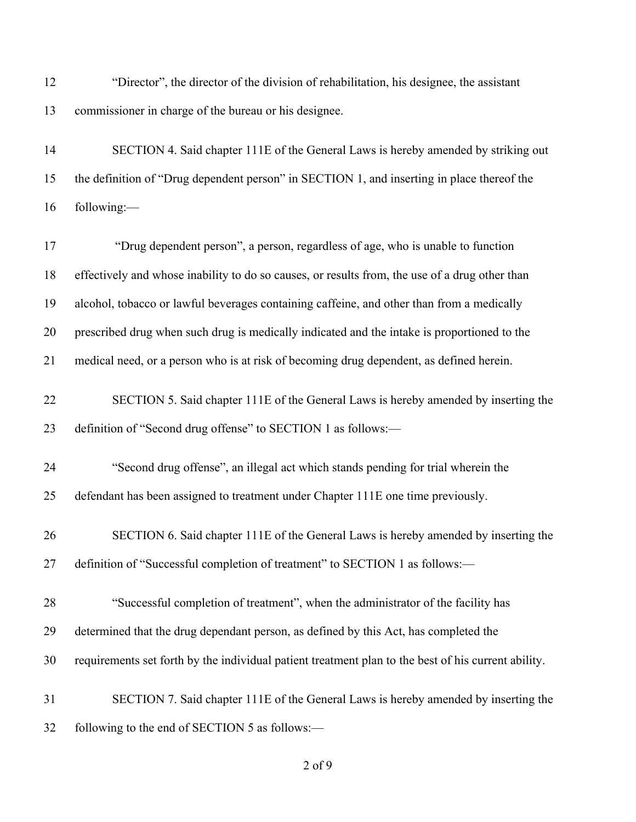| 12 | "Director", the director of the division of rehabilitation, his designee, the assistant             |
|----|-----------------------------------------------------------------------------------------------------|
| 13 | commissioner in charge of the bureau or his designee.                                               |
| 14 | SECTION 4. Said chapter 111E of the General Laws is hereby amended by striking out                  |
| 15 | the definition of "Drug dependent person" in SECTION 1, and inserting in place thereof the          |
| 16 | following:-                                                                                         |
| 17 | "Drug dependent person", a person, regardless of age, who is unable to function                     |
| 18 | effectively and whose inability to do so causes, or results from, the use of a drug other than      |
| 19 | alcohol, tobacco or lawful beverages containing caffeine, and other than from a medically           |
| 20 | prescribed drug when such drug is medically indicated and the intake is proportioned to the         |
| 21 | medical need, or a person who is at risk of becoming drug dependent, as defined herein.             |
| 22 | SECTION 5. Said chapter 111E of the General Laws is hereby amended by inserting the                 |
| 23 | definition of "Second drug offense" to SECTION 1 as follows:-                                       |
| 24 | "Second drug offense", an illegal act which stands pending for trial wherein the                    |
| 25 | defendant has been assigned to treatment under Chapter 111E one time previously.                    |
| 26 | SECTION 6. Said chapter 111E of the General Laws is hereby amended by inserting the                 |
| 27 | definition of "Successful completion of treatment" to SECTION 1 as follows:-                        |
| 28 | "Successful completion of treatment", when the administrator of the facility has                    |
| 29 | determined that the drug dependant person, as defined by this Act, has completed the                |
| 30 | requirements set forth by the individual patient treatment plan to the best of his current ability. |
| 31 | SECTION 7. Said chapter 111E of the General Laws is hereby amended by inserting the                 |
| 32 | following to the end of SECTION 5 as follows:-                                                      |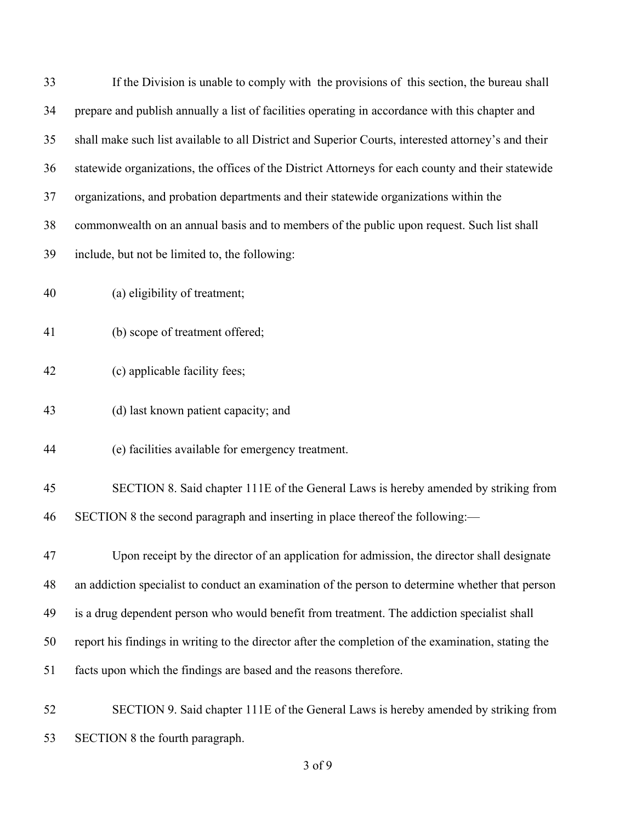| 33 | If the Division is unable to comply with the provisions of this section, the bureau shall           |
|----|-----------------------------------------------------------------------------------------------------|
| 34 | prepare and publish annually a list of facilities operating in accordance with this chapter and     |
| 35 | shall make such list available to all District and Superior Courts, interested attorney's and their |
| 36 | statewide organizations, the offices of the District Attorneys for each county and their statewide  |
| 37 | organizations, and probation departments and their statewide organizations within the               |
| 38 | commonwealth on an annual basis and to members of the public upon request. Such list shall          |
| 39 | include, but not be limited to, the following:                                                      |
| 40 | (a) eligibility of treatment;                                                                       |
| 41 | (b) scope of treatment offered;                                                                     |
| 42 | (c) applicable facility fees;                                                                       |
| 43 | (d) last known patient capacity; and                                                                |
| 44 | (e) facilities available for emergency treatment.                                                   |
| 45 | SECTION 8. Said chapter 111E of the General Laws is hereby amended by striking from                 |
| 46 | SECTION 8 the second paragraph and inserting in place thereof the following:—                       |
| 47 | Upon receipt by the director of an application for admission, the director shall designate          |
| 48 | an addiction specialist to conduct an examination of the person to determine whether that person    |
| 49 | is a drug dependent person who would benefit from treatment. The addiction specialist shall         |
| 50 | report his findings in writing to the director after the completion of the examination, stating the |
| 51 | facts upon which the findings are based and the reasons therefore.                                  |
| 52 | SECTION 9. Said chapter 111E of the General Laws is hereby amended by striking from                 |
| 53 | SECTION 8 the fourth paragraph.                                                                     |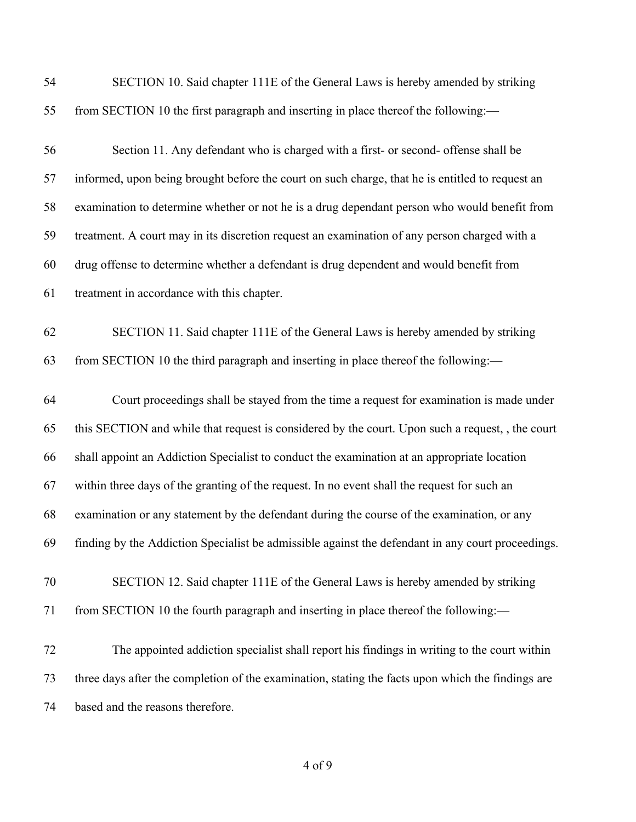| 54 | SECTION 10. Said chapter 111E of the General Laws is hereby amended by striking                   |
|----|---------------------------------------------------------------------------------------------------|
| 55 | from SECTION 10 the first paragraph and inserting in place thereof the following:—                |
| 56 | Section 11. Any defendant who is charged with a first- or second- offense shall be                |
| 57 | informed, upon being brought before the court on such charge, that he is entitled to request an   |
| 58 | examination to determine whether or not he is a drug dependant person who would benefit from      |
| 59 | treatment. A court may in its discretion request an examination of any person charged with a      |
| 60 | drug offense to determine whether a defendant is drug dependent and would benefit from            |
| 61 | treatment in accordance with this chapter.                                                        |
| 62 | SECTION 11. Said chapter 111E of the General Laws is hereby amended by striking                   |
| 63 | from SECTION 10 the third paragraph and inserting in place thereof the following:-                |
| 64 | Court proceedings shall be stayed from the time a request for examination is made under           |
| 65 | this SECTION and while that request is considered by the court. Upon such a request, , the court  |
| 66 | shall appoint an Addiction Specialist to conduct the examination at an appropriate location       |
| 67 | within three days of the granting of the request. In no event shall the request for such an       |
| 68 | examination or any statement by the defendant during the course of the examination, or any        |
| 69 | finding by the Addiction Specialist be admissible against the defendant in any court proceedings. |
| 70 | SECTION 12. Said chapter 111E of the General Laws is hereby amended by striking                   |
| 71 | from SECTION 10 the fourth paragraph and inserting in place thereof the following:-               |
| 72 | The appointed addiction specialist shall report his findings in writing to the court within       |
| 73 | three days after the completion of the examination, stating the facts upon which the findings are |
| 74 | based and the reasons therefore.                                                                  |
|    |                                                                                                   |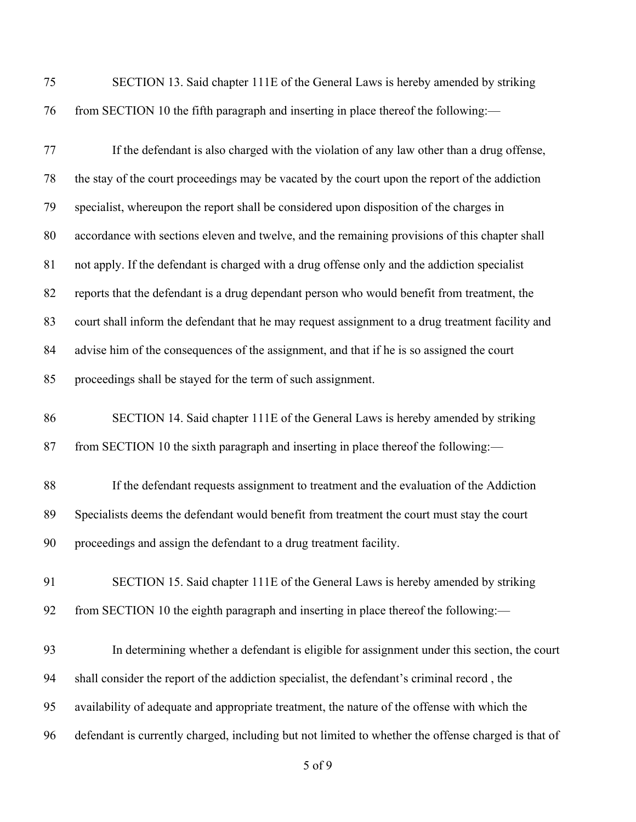SECTION 13. Said chapter 111E of the General Laws is hereby amended by striking 76 from SECTION 10 the fifth paragraph and inserting in place thereof the following:—

| 77 | If the defendant is also charged with the violation of any law other than a drug offense,        |
|----|--------------------------------------------------------------------------------------------------|
| 78 | the stay of the court proceedings may be vacated by the court upon the report of the addiction   |
| 79 | specialist, whereupon the report shall be considered upon disposition of the charges in          |
| 80 | accordance with sections eleven and twelve, and the remaining provisions of this chapter shall   |
| 81 | not apply. If the defendant is charged with a drug offense only and the addiction specialist     |
| 82 | reports that the defendant is a drug dependant person who would benefit from treatment, the      |
| 83 | court shall inform the defendant that he may request assignment to a drug treatment facility and |
| 84 | advise him of the consequences of the assignment, and that if he is so assigned the court        |
| 85 | proceedings shall be stayed for the term of such assignment.                                     |
| 86 | SECTION 14. Said chapter 111E of the General Laws is hereby amended by striking                  |
| 87 | from SECTION 10 the sixth paragraph and inserting in place thereof the following:-               |
| 88 | If the defendant requests assignment to treatment and the evaluation of the Addiction            |
| 89 | Specialists deems the defendant would benefit from treatment the court must stay the court       |
| 90 | proceedings and assign the defendant to a drug treatment facility.                               |
| 91 | SECTION 15. Said chapter 111E of the General Laws is hereby amended by striking                  |
| 92 | from SECTION 10 the eighth paragraph and inserting in place thereof the following:-              |
| 93 | In determining whether a defendant is eligible for assignment under this section, the court      |
| 94 | shall consider the report of the addiction specialist, the defendant's criminal record, the      |
| 95 | availability of adequate and appropriate treatment, the nature of the offense with which the     |

defendant is currently charged, including but not limited to whether the offense charged is that of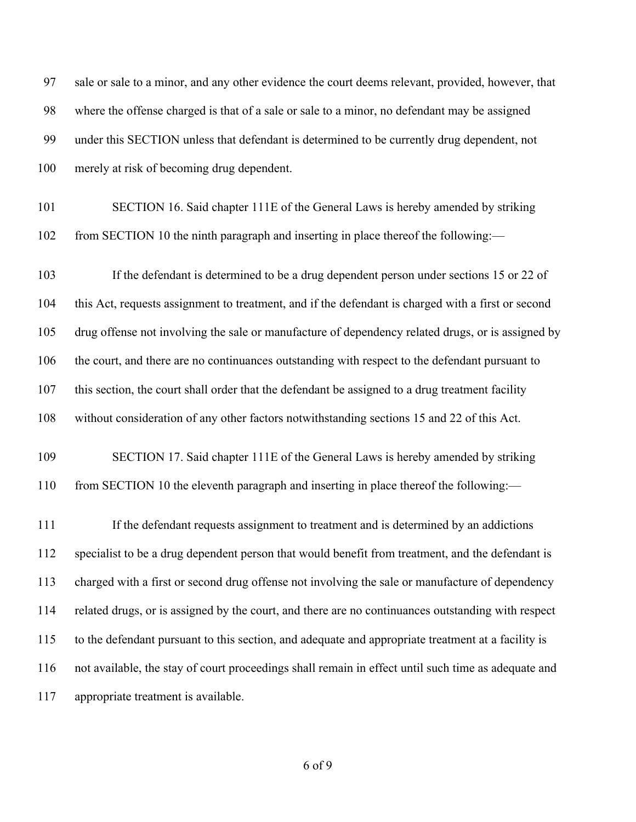| 97  | sale or sale to a minor, and any other evidence the court deems relevant, provided, however, that   |
|-----|-----------------------------------------------------------------------------------------------------|
| 98  | where the offense charged is that of a sale or sale to a minor, no defendant may be assigned        |
| 99  | under this SECTION unless that defendant is determined to be currently drug dependent, not          |
| 100 | merely at risk of becoming drug dependent.                                                          |
| 101 | SECTION 16. Said chapter 111E of the General Laws is hereby amended by striking                     |
| 102 | from SECTION 10 the ninth paragraph and inserting in place thereof the following:-                  |
| 103 | If the defendant is determined to be a drug dependent person under sections 15 or 22 of             |
| 104 | this Act, requests assignment to treatment, and if the defendant is charged with a first or second  |
| 105 | drug offense not involving the sale or manufacture of dependency related drugs, or is assigned by   |
| 106 | the court, and there are no continuances outstanding with respect to the defendant pursuant to      |
| 107 | this section, the court shall order that the defendant be assigned to a drug treatment facility     |
| 108 | without consideration of any other factors notwithstanding sections 15 and 22 of this Act.          |
| 109 | SECTION 17. Said chapter 111E of the General Laws is hereby amended by striking                     |
| 110 | from SECTION 10 the eleventh paragraph and inserting in place thereof the following:-               |
| 111 | If the defendant requests assignment to treatment and is determined by an addictions                |
| 112 | specialist to be a drug dependent person that would benefit from treatment, and the defendant is    |
| 113 | charged with a first or second drug offense not involving the sale or manufacture of dependency     |
| 114 | related drugs, or is assigned by the court, and there are no continuances outstanding with respect  |
| 115 | to the defendant pursuant to this section, and adequate and appropriate treatment at a facility is  |
| 116 | not available, the stay of court proceedings shall remain in effect until such time as adequate and |
| 117 | appropriate treatment is available.                                                                 |
|     |                                                                                                     |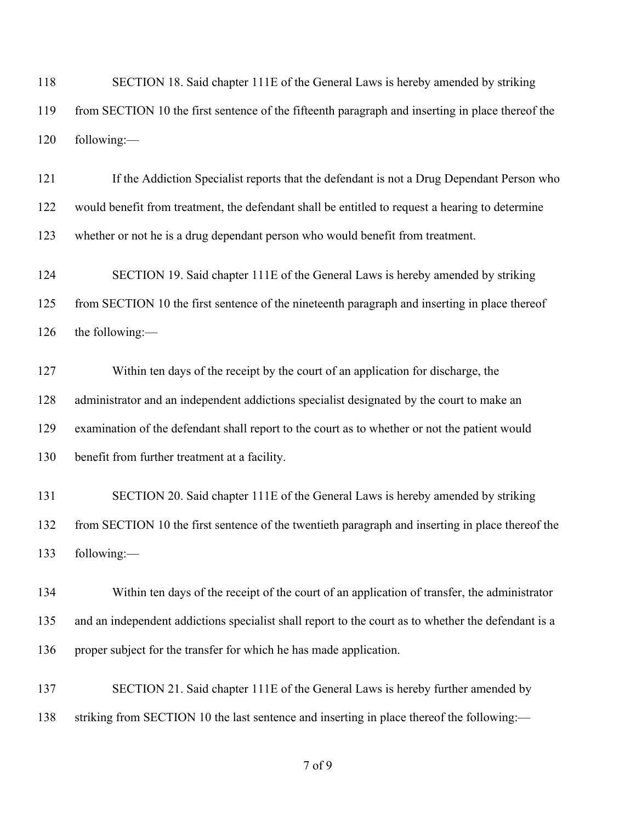SECTION 18. Said chapter 111E of the General Laws is hereby amended by striking from SECTION 10 the first sentence of the fifteenth paragraph and inserting in place thereof the following:—

 If the Addiction Specialist reports that the defendant is not a Drug Dependant Person who would benefit from treatment, the defendant shall be entitled to request a hearing to determine whether or not he is a drug dependant person who would benefit from treatment.

 SECTION 19. Said chapter 111E of the General Laws is hereby amended by striking from SECTION 10 the first sentence of the nineteenth paragraph and inserting in place thereof the following:—

 Within ten days of the receipt by the court of an application for discharge, the administrator and an independent addictions specialist designated by the court to make an examination of the defendant shall report to the court as to whether or not the patient would benefit from further treatment at a facility.

 SECTION 20. Said chapter 111E of the General Laws is hereby amended by striking from SECTION 10 the first sentence of the twentieth paragraph and inserting in place thereof the following:—

 Within ten days of the receipt of the court of an application of transfer, the administrator and an independent addictions specialist shall report to the court as to whether the defendant is a proper subject for the transfer for which he has made application.

 SECTION 21. Said chapter 111E of the General Laws is hereby further amended by 138 striking from SECTION 10 the last sentence and inserting in place thereof the following:—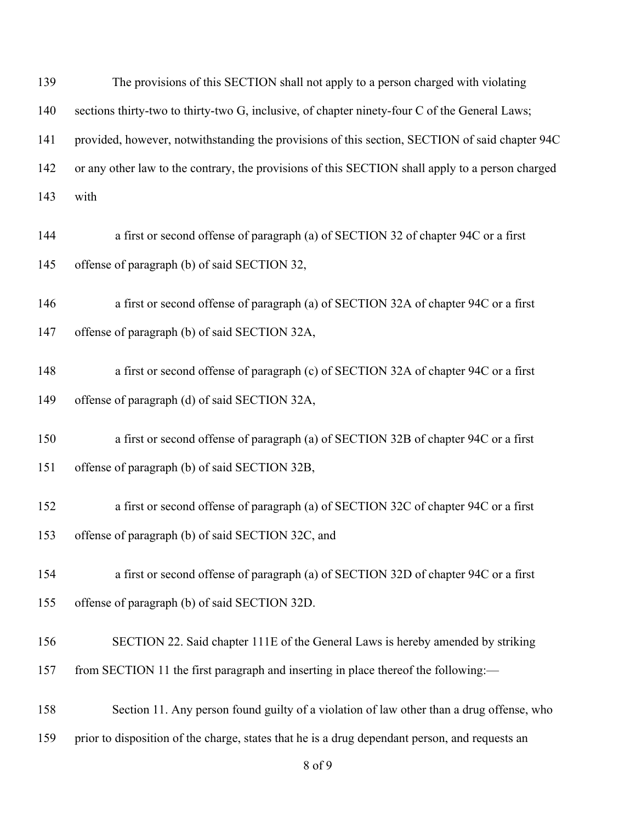| 139 | The provisions of this SECTION shall not apply to a person charged with violating                |
|-----|--------------------------------------------------------------------------------------------------|
| 140 | sections thirty-two to thirty-two G, inclusive, of chapter ninety-four C of the General Laws;    |
| 141 | provided, however, notwithstanding the provisions of this section, SECTION of said chapter 94C   |
| 142 | or any other law to the contrary, the provisions of this SECTION shall apply to a person charged |
| 143 | with                                                                                             |
| 144 | a first or second offense of paragraph (a) of SECTION 32 of chapter 94C or a first               |
| 145 | offense of paragraph (b) of said SECTION 32,                                                     |
| 146 | a first or second offense of paragraph (a) of SECTION 32A of chapter 94C or a first              |
| 147 | offense of paragraph (b) of said SECTION 32A,                                                    |
| 148 | a first or second offense of paragraph (c) of SECTION 32A of chapter 94C or a first              |
| 149 | offense of paragraph (d) of said SECTION 32A,                                                    |
| 150 | a first or second offense of paragraph (a) of SECTION 32B of chapter 94C or a first              |
| 151 | offense of paragraph (b) of said SECTION 32B,                                                    |
| 152 | a first or second offense of paragraph (a) of SECTION 32C of chapter 94C or a first              |
| 153 | offense of paragraph (b) of said SECTION 32C, and                                                |
| 154 | a first or second offense of paragraph (a) of SECTION 32D of chapter 94C or a first              |
| 155 | offense of paragraph (b) of said SECTION 32D.                                                    |
| 156 | SECTION 22. Said chapter 111E of the General Laws is hereby amended by striking                  |
| 157 | from SECTION 11 the first paragraph and inserting in place thereof the following:—               |
| 158 | Section 11. Any person found guilty of a violation of law other than a drug offense, who         |
| 159 | prior to disposition of the charge, states that he is a drug dependant person, and requests an   |